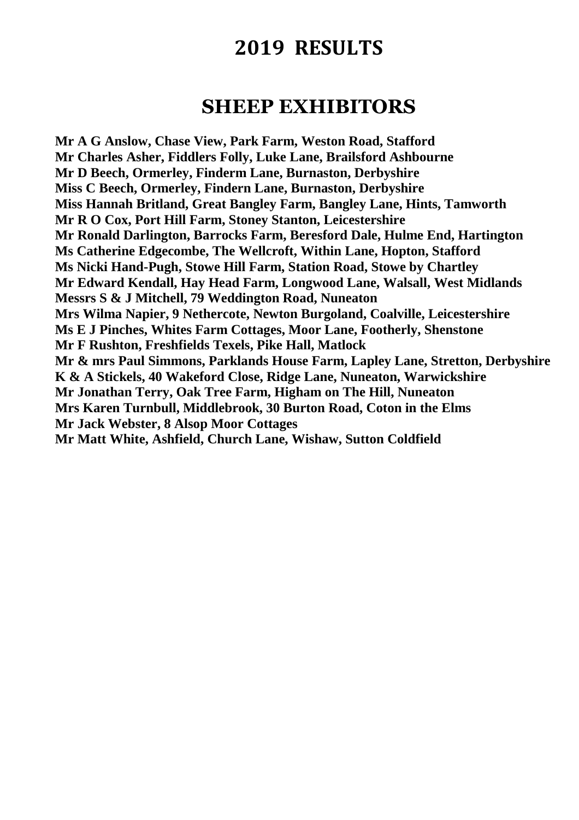### **SHEEP EXHIBITORS**

**Mr A G Anslow, Chase View, Park Farm, Weston Road, Stafford Mr Charles Asher, Fiddlers Folly, Luke Lane, Brailsford Ashbourne Mr D Beech, Ormerley, Finderm Lane, Burnaston, Derbyshire Miss C Beech, Ormerley, Findern Lane, Burnaston, Derbyshire Miss Hannah Britland, Great Bangley Farm, Bangley Lane, Hints, Tamworth Mr R O Cox, Port Hill Farm, Stoney Stanton, Leicestershire Mr Ronald Darlington, Barrocks Farm, Beresford Dale, Hulme End, Hartington Ms Catherine Edgecombe, The Wellcroft, Within Lane, Hopton, Stafford Ms Nicki Hand-Pugh, Stowe Hill Farm, Station Road, Stowe by Chartley Mr Edward Kendall, Hay Head Farm, Longwood Lane, Walsall, West Midlands Messrs S & J Mitchell, 79 Weddington Road, Nuneaton Mrs Wilma Napier, 9 Nethercote, Newton Burgoland, Coalville, Leicestershire Ms E J Pinches, Whites Farm Cottages, Moor Lane, Footherly, Shenstone Mr F Rushton, Freshfields Texels, Pike Hall, Matlock Mr & mrs Paul Simmons, Parklands House Farm, Lapley Lane, Stretton, Derbyshire K & A Stickels, 40 Wakeford Close, Ridge Lane, Nuneaton, Warwickshire Mr Jonathan Terry, Oak Tree Farm, Higham on The Hill, Nuneaton Mrs Karen Turnbull, Middlebrook, 30 Burton Road, Coton in the Elms Mr Jack Webster, 8 Alsop Moor Cottages Mr Matt White, Ashfield, Church Lane, Wishaw, Sutton Coldfield**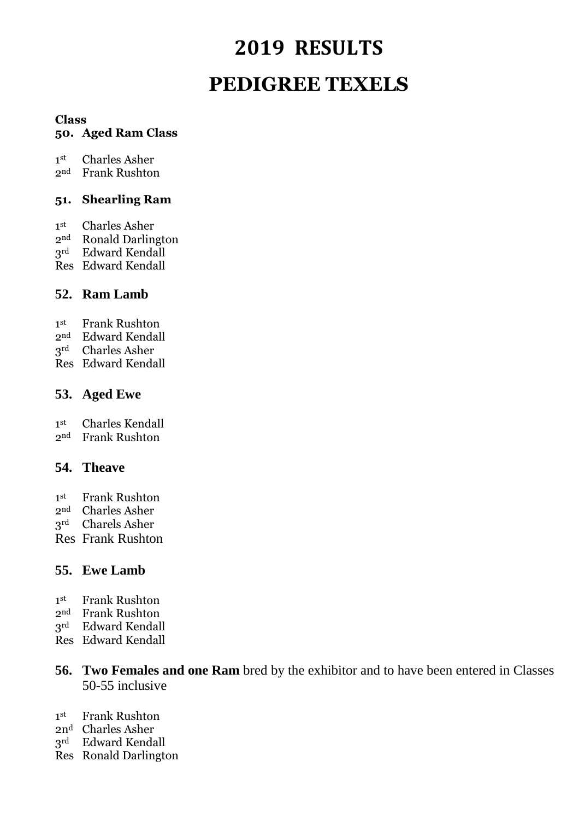# **2019 RESULTS PEDIGREE TEXELS**

#### **Class**

#### **50. Aged Ram Class**

 $1<sup>st</sup>$ Charles Asher

2nd Frank Rushton

#### **51. Shearling Ram**

- $1<sup>st</sup>$ Charles Asher
- 2nd Ronald Darlington
- 3rd Edward Kendall
- Res Edward Kendall

#### **52. Ram Lamb**

- $1<sup>st</sup>$ Frank Rushton
- 2nd Edward Kendall
- 3rd Charles Asher
- Res Edward Kendall

#### **53. Aged Ewe**

 $1<sup>st</sup>$ Charles Kendall

2nd Frank Rushton

#### **54. Theave**

- $1<sup>st</sup>$ **Frank Rushton**
- 2nd Charles Asher
- 3rd Charels Asher
- Res Frank Rushton

### **55. Ewe Lamb**

- $1<sup>st</sup>$ Frank Rushton
- 2nd Frank Rushton
- 3rd Edward Kendall
- Res Edward Kendall
- **56. Two Females and one Ram** bred by the exhibitor and to have been entered in Classes 50-55 inclusive
- $1<sup>st</sup>$ **Frank Rushton**
- 2n<sup>d</sup> Charles Asher
- 3rd Edward Kendall
- Res Ronald Darlington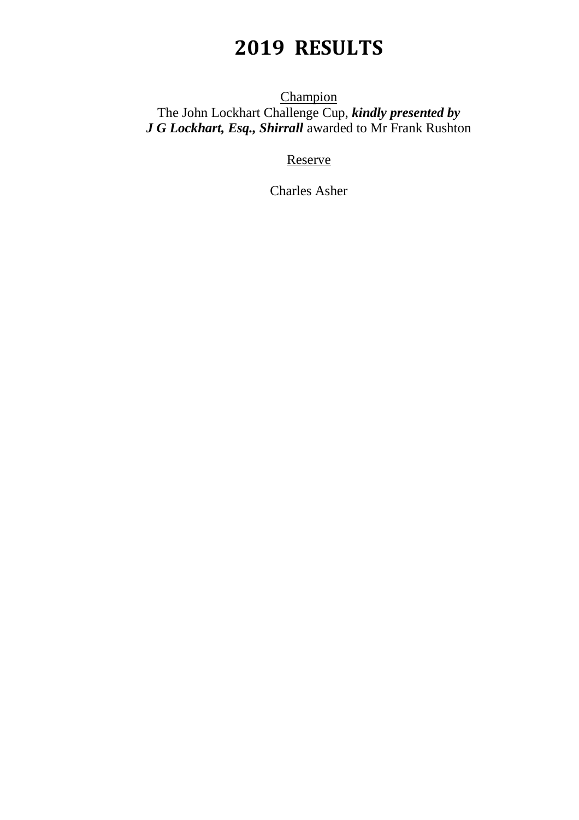**Champion** The John Lockhart Challenge Cup, *kindly presented by J G Lockhart, Esq., Shirrall* awarded to Mr Frank Rushton

Reserve

Charles Asher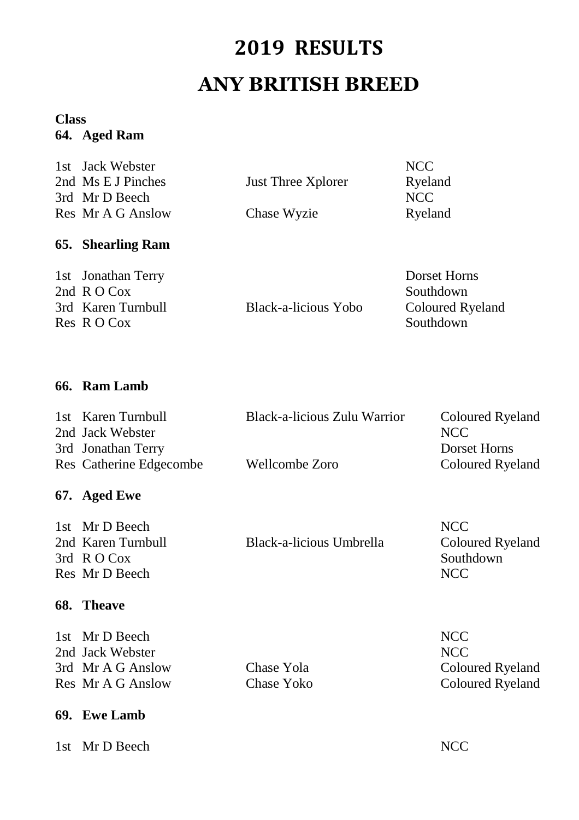# **2019 RESULTS ANY BRITISH BREED**

#### **Class 64. Aged Ram**

| 1st Jack Webster   |                           | NCC     |
|--------------------|---------------------------|---------|
| 2nd Ms E J Pinches | <b>Just Three Xplorer</b> | Ryeland |
| 3rd Mr D Beech     |                           | NCC     |
| Res Mr A G Anslow  | Chase Wyzie               | Ryeland |

### **65. Shearling Ram**

| 1st Jonathan Terry | Dorset Horns            |
|--------------------|-------------------------|
| 2nd $R$ O Cox      | Southdown               |
| 3rd Karen Turnbull | <b>Coloured Ryeland</b> |
| Res R O Cox        | Southdown               |
|                    | Black-a-licious Yobo    |

### **66. Ram Lamb**

| 1st Karen Turnbull      | Black-a-licious Zulu Warrior | <b>Coloured Ryeland</b> |
|-------------------------|------------------------------|-------------------------|
| 2nd Jack Webster        |                              | NCC.                    |
| 3rd Jonathan Terry      |                              | Dorset Horns            |
| Res Catherine Edgecombe | Wellcombe Zoro               | <b>Coloured Ryeland</b> |

### **67. Aged Ewe**

| 1st Mr D Beech     |                          | NCC <sup>1</sup>        |
|--------------------|--------------------------|-------------------------|
| 2nd Karen Turnbull | Black-a-licious Umbrella | <b>Coloured Ryeland</b> |
| 3rd $R$ O Cox      |                          | Southdown               |
| Res Mr D Beech     |                          | NCC.                    |

#### **68. Theave**

| 1st Mr D Beech    |            | <b>NCC</b> |
|-------------------|------------|------------|
| 2nd Jack Webster  |            | <b>NCC</b> |
| 3rd Mr A G Anslow | Chase Yola | Colo       |
| Res Mr A G Anslow | Chase Yoko | Colo       |

### **69. Ewe Lamb**

1st Mr D Beech NCC

Yola Coloured Ryeland Yoko Coloured Ryeland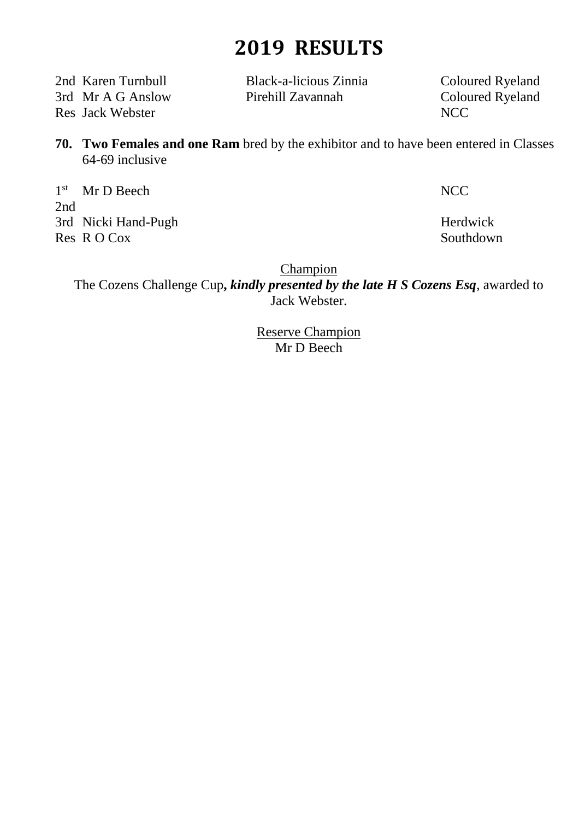2nd Karen Turnbull Black-a-licious Zinnia Coloured Ryeland Res Jack Webster NCC

3rd Mr A G Anslow Pirehill Zavannah Coloured Ryeland

**70. Two Females and one Ram** bred by the exhibitor and to have been entered in Classes 64-69 inclusive

1<sup>st</sup> Mr D Beech NCC 2nd 3rd Nicki Hand-Pugh Herdwick Res R O Cox Southdown

**Champion** 

The Cozens Challenge Cup**,** *kindly presented by the late H S Cozens Esq*, awarded to Jack Webster.

> Reserve Champion Mr D Beech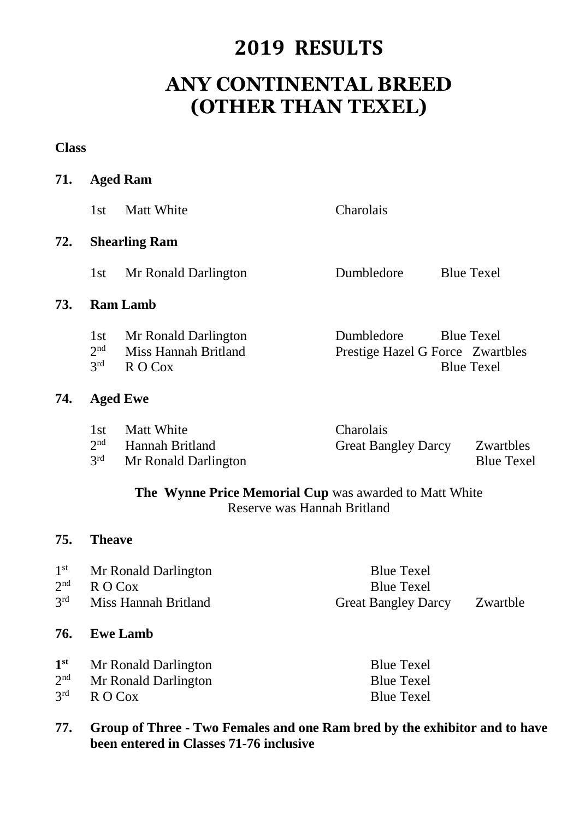### **ANY CONTINENTAL BREED (OTHER THAN TEXEL)**

**Class**

| 71.                                                   |                                           | <b>Aged Ram</b>                                                                                                        |                                                                      |                                                                            |
|-------------------------------------------------------|-------------------------------------------|------------------------------------------------------------------------------------------------------------------------|----------------------------------------------------------------------|----------------------------------------------------------------------------|
|                                                       | 1st                                       | <b>Matt White</b>                                                                                                      | Charolais                                                            |                                                                            |
| 72.                                                   |                                           | <b>Shearling Ram</b>                                                                                                   |                                                                      |                                                                            |
|                                                       | 1st                                       | Mr Ronald Darlington                                                                                                   | Dumbledore                                                           | <b>Blue Texel</b>                                                          |
| 73.                                                   |                                           | <b>Ram Lamb</b>                                                                                                        |                                                                      |                                                                            |
|                                                       | 1st<br>2 <sup>nd</sup><br>3 <sup>rd</sup> | Mr Ronald Darlington<br>Miss Hannah Britland<br>R O Cox                                                                | Dumbledore                                                           | <b>Blue Texel</b><br>Prestige Hazel G Force Zwartbles<br><b>Blue Texel</b> |
| 74.                                                   |                                           | <b>Aged Ewe</b>                                                                                                        |                                                                      |                                                                            |
|                                                       | 1st<br>2 <sup>nd</sup><br>3 <sup>rd</sup> | <b>Matt White</b><br>Hannah Britland<br>Mr Ronald Darlington<br>The Wynne Price Memorial Cup was awarded to Matt White | Charolais<br><b>Great Bangley Darcy</b>                              | Zwartbles<br><b>Blue Texel</b>                                             |
|                                                       |                                           |                                                                                                                        | Reserve was Hannah Britland                                          |                                                                            |
| 75.                                                   | <b>Theave</b>                             |                                                                                                                        |                                                                      |                                                                            |
| 1 <sup>st</sup><br>2 <sup>nd</sup><br>3 <sup>rd</sup> |                                           | Mr Ronald Darlington<br>R O Cox<br><b>Miss Hannah Britland</b>                                                         | <b>Blue Texel</b><br><b>Blue Texel</b><br><b>Great Bangley Darcy</b> | Zwartble                                                                   |

#### **76. Ewe Lamb**

| 1 <sup>st</sup> | Mr Ronald Darlington       | <b>Blue Texel</b> |
|-----------------|----------------------------|-------------------|
|                 | $2nd$ Mr Ronald Darlington | <b>Blue Texel</b> |
| $3^{\text{rd}}$ | R O Cox                    | <b>Blue Texel</b> |

#### **77. Group of Three - Two Females and one Ram bred by the exhibitor and to have been entered in Classes 71-76 inclusive**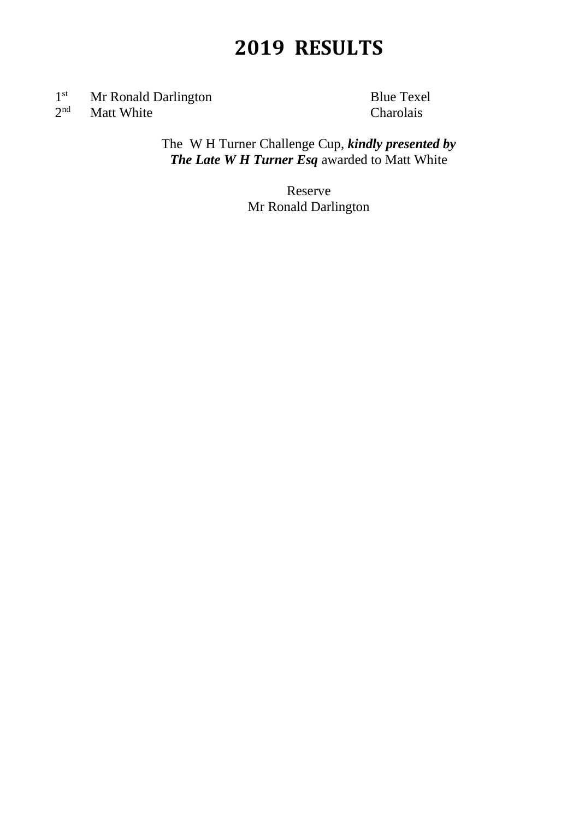$1^{\rm st}$ Mr Ronald Darlington<br>
Matt White Charolais  $2<sup>nd</sup>$ Matt White

The W H Turner Challenge Cup, *kindly presented by The Late W H Turner Esq* awarded to Matt White

> Reserve Mr Ronald Darlington